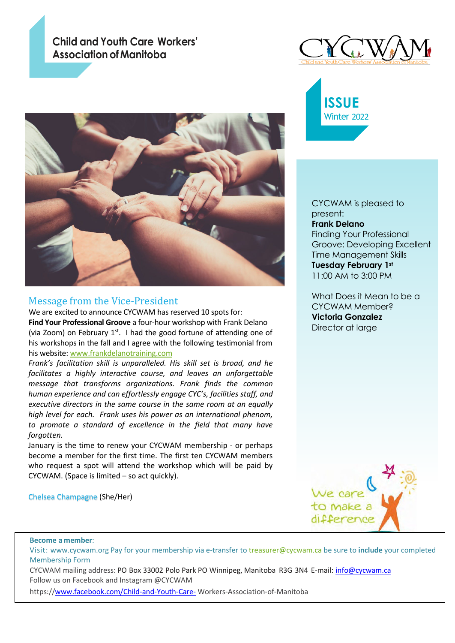## **Child and Youth Care Workers' Association ofManitoba**



## Message from the Vice-President

We are excited to announce CYCWAM has reserved 10 spots for: **Find Your Professional Groove** a four-hour workshop with Frank Delano (via Zoom) on February  $1<sup>st</sup>$ . I had the good fortune of attending one of his workshops in the fall and I agree with the following testimonial from his website: [www.frankdelanotraining.com](http://www.frankdelanotraining.com/)

*Frank's facilitation skill is unparalleled. His skill set is broad, and he facilitates a highly interactive course, and leaves an unforgettable message that transforms organizations. Frank finds the common human experience and can effortlessly engage CYC's, facilities staff, and executive directors in the same course in the same room at an equally high level for each. Frank uses his power as an international phenom, to promote a standard of excellence in the field that many have forgotten.*

January is the time to renew your CYCWAM membership - or perhaps become a member for the first time. The first ten CYCWAM members who request a spot will attend the workshop which will be paid by CYCWAM. (Space is limited – so act quickly).

Chelsea Champagne (She/Her)





CYCWAM is pleased to present: **Frank Delano** Finding Your Professional Groove: Developing Excellent Time Management Skills **Tuesday February 1st** 11:00 AM to 3:00 PM

What Does it Mean to be a CYCWAM Member? **Victoria Gonzalez**  Director at large



**Become a member**:

j

Visit: www.cycwam.org Pay for your membership via e-transfer to [treasurer@cycwam.ca](mailto:treasurer@cycwam.ca) be sure to **include** your completed Membership Form

CYCWAM mailing address: PO Box 33002 Polo Park PO Winnipeg, Manitoba R3G 3N4 E-mail: [info@cycwam.ca](mailto:info@cycwam.ca) Follow us on Facebook and Instagram @CYCWAM

https:[//www.facebook.com/Child-and-Youth-Care-](http://www.facebook.com/Child-and-Youth-Care-) Workers-Association-of-Manitoba